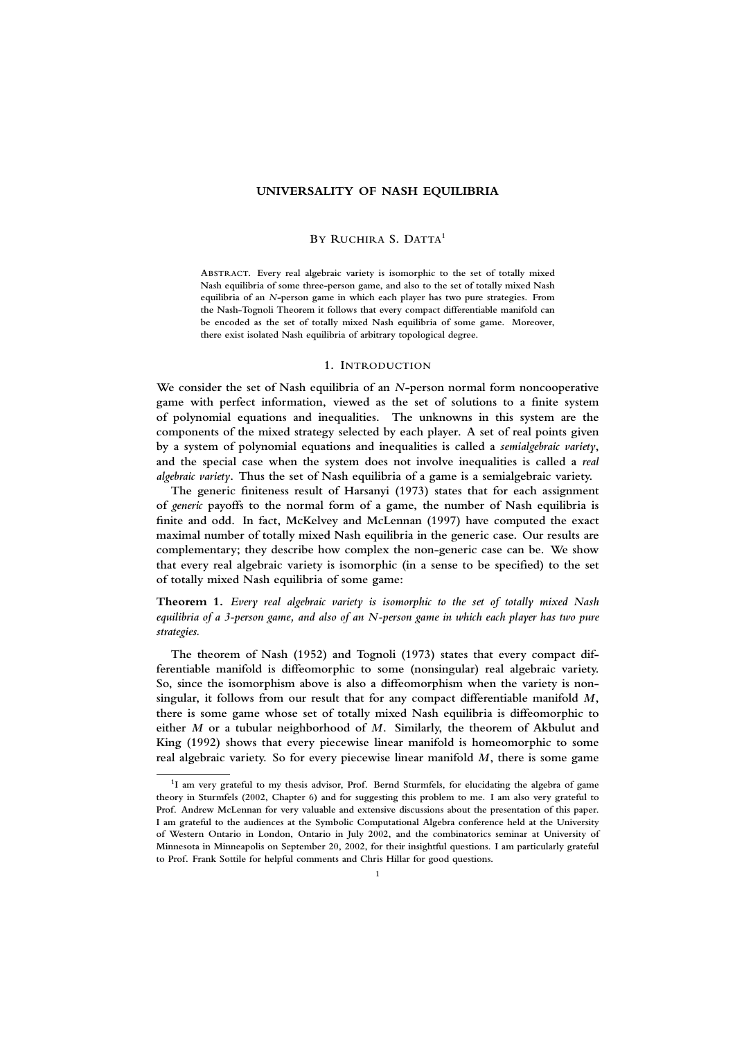# **UNIVERSALITY OF NASH EQUILIBRIA**

#### **BY RUCHIRA S. DATTA<sup>1</sup>**

**ABSTRACT. Every real algebraic variety is isomorphic to the set of totally mixed Nash equilibria of some three-person game, and also to the set of totally mixed Nash equilibria of an** *N***-person game in which each player has two pure strategies. From the Nash-Tognoli Theorem it follows that every compact differentiable manifold can be encoded as the set of totally mixed Nash equilibria of some game. Moreover, there exist isolated Nash equilibria of arbitrary topological degree.**

#### **1. INTRODUCTION**

**We consider the set of Nash equilibria of an** *N***-person normal form noncooperative game with perfect information, viewed as the set of solutions to a finite system of polynomial equations and inequalities. The unknowns in this system are the components of the mixed strategy selected by each player. A set of real points given by a system of polynomial equations and inequalities is called a** *semialgebraic variety***, and the special case when the system does not involve inequalities is called a** *real algebraic variety***. Thus the set of Nash equilibria of a game is a semialgebraic variety.**

**The generic finiteness result of Harsanyi (1973) states that for each assignment of** *generic* **payoffs to the normal form of a game, the number of Nash equilibria is finite and odd. In fact, McKelvey and McLennan (1997) have computed the exact maximal number of totally mixed Nash equilibria in the generic case. Our results are complementary; they describe how complex the non-generic case can be. We show that every real algebraic variety is isomorphic (in a sense to be specified) to the set of totally mixed Nash equilibria of some game:**

**Theorem 1.** *Every real algebraic variety is isomorphic to the set of totally mixed Nash equilibria of a 3-person game, and also of an N-person game in which each player has two pure strategies.*

**The theorem of Nash (1952) and Tognoli (1973) states that every compact differentiable manifold is diffeomorphic to some (nonsingular) real algebraic variety. So, since the isomorphism above is also a diffeomorphism when the variety is nonsingular, it follows from our result that for any compact differentiable manifold** *M***, there is some game whose set of totally mixed Nash equilibria is diffeomorphic to either** *M* **or a tubular neighborhood of** *M***. Similarly, the theorem of Akbulut and King (1992) shows that every piecewise linear manifold is homeomorphic to some real algebraic variety. So for every piecewise linear manifold** *M***, there is some game**

**<sup>1</sup> I am very grateful to my thesis advisor, Prof. Bernd Sturmfels, for elucidating the algebra of game theory in Sturmfels (2002, Chapter 6) and for suggesting this problem to me. I am also very grateful to Prof. Andrew McLennan for very valuable and extensive discussions about the presentation of this paper. I am grateful to the audiences at the Symbolic Computational Algebra conference held at the University of Western Ontario in London, Ontario in July 2002, and the combinatorics seminar at University of Minnesota in Minneapolis on September 20, 2002, for their insightful questions. I am particularly grateful to Prof. Frank Sottile for helpful comments and Chris Hillar for good questions.**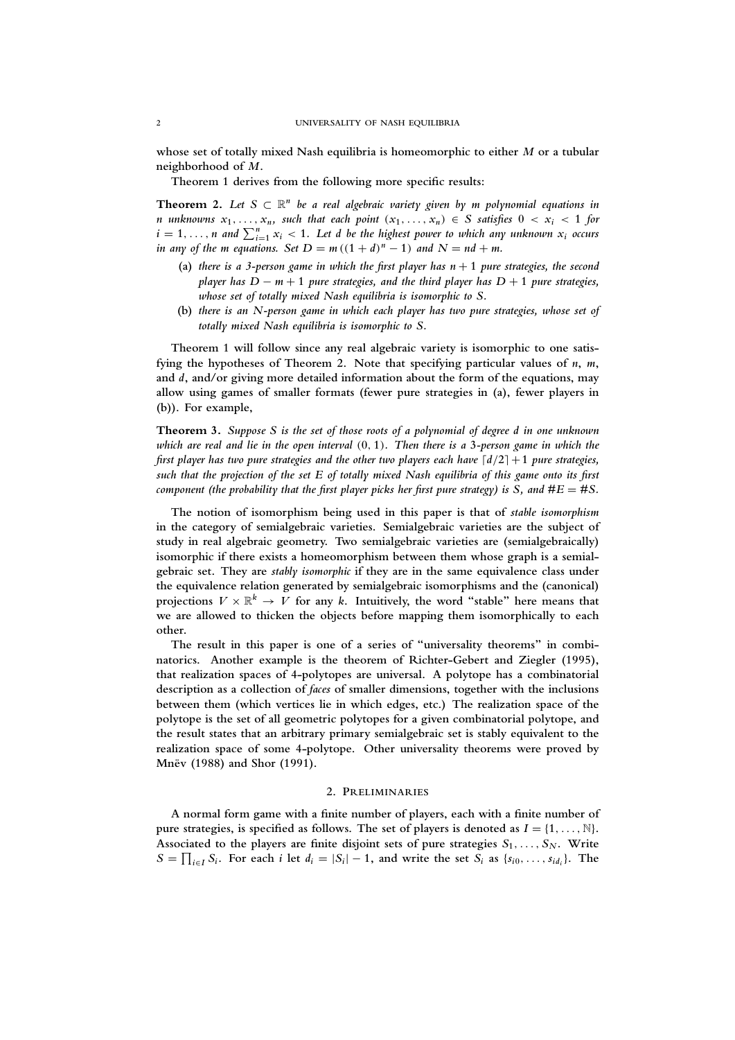**whose set of totally mixed Nash equilibria is homeomorphic to either** *M* **or a tubular neighborhood of** *M***.**

**Theorem 1 derives from the following more specific results:**

**Theorem 2.** Let  $S \subset \mathbb{R}^n$  be a real algebraic variety given by m polynomial equations in *n* unknowns  $x_1, \ldots, x_n$ , such that each point  $(x_1, \ldots, x_n) \in S$  satisfies  $0 < x_i < 1$  for  $i = 1, \ldots, n$  and  $\sum_{i=1}^{n} x_i < 1$ . Let d be the highest power to which any unknown  $x_i$  occurs *in any of the m equations. Set*  $D = m((1+d)^n - 1)$  *and*  $N = nd + m$ .

- (a) *there is a 3-person game in which the first player has*  $n + 1$  *pure strategies, the second player has D* − *m* + **1** *pure strategies, and the third player has D* + **1** *pure strategies, whose set of totally mixed Nash equilibria is isomorphic to S.*
- **(b)** *there is an N-person game in which each player has two pure strategies, whose set of totally mixed Nash equilibria is isomorphic to S.*

**Theorem 1 will follow since any real algebraic variety is isomorphic to one satisfying the hypotheses of Theorem 2. Note that specifying particular values of** *n***,** *m***, and** *d***, and/or giving more detailed information about the form of the equations, may allow using games of smaller formats (fewer pure strategies in (a), fewer players in (b)). For example,**

**Theorem 3.** *Suppose S is the set of those roots of a polynomial of degree d in one unknown which are real and lie in the open interval* (**0**, **1**)*. Then there is a* **3***-person game in which the first player has two pure strategies and the other two players each have*  $\lceil d/2 \rceil + 1$  *pure strategies, such that the projection of the set E of totally mixed Nash equilibria of this game onto its first component (the probability that the first player picks her first pure strategy) is S, and*  $#E = #S$ *.* 

**The notion of isomorphism being used in this paper is that of** *stable isomorphism* **in the category of semialgebraic varieties. Semialgebraic varieties are the subject of study in real algebraic geometry. Two semialgebraic varieties are (semialgebraically) isomorphic if there exists a homeomorphism between them whose graph is a semialgebraic set. They are** *stably isomorphic* **if they are in the same equivalence class under the equivalence relation generated by semialgebraic isomorphisms and the (canonical)** projections  $V \times \mathbb{R}^k \to V$  for any *k*. Intuitively, the word "stable" here means that **we are allowed to thicken the objects before mapping them isomorphically to each other.**

**The result in this paper is one of a series of "universality theorems" in combinatorics. Another example is the theorem of Richter-Gebert and Ziegler (1995), that realization spaces of 4-polytopes are universal. A polytope has a combinatorial description as a collection of** *faces* **of smaller dimensions, together with the inclusions between them (which vertices lie in which edges, etc.) The realization space of the polytope is the set of all geometric polytopes for a given combinatorial polytope, and the result states that an arbitrary primary semialgebraic set is stably equivalent to the realization space of some 4-polytope. Other universality theorems were proved by Mnev (1988) and Shor (1991). ¨**

### **2. PRELIMINARIES**

**A normal form game with a finite number of players, each with a finite number of** pure strategies, is specified as follows. The set of players is denoted as  $I = \{1, \ldots, \mathbb{N}\}\$ . Associated to the players are finite disjoint sets of pure strategies  $S_1, \ldots, S_N$ . Write  $S = \prod_{i \in I} S_i$ . For each i let  $d_i = |S_i| - 1$ , and write the set  $S_i$  as  $\{s_{i0}, \ldots, s_{id_i}\}\$ . The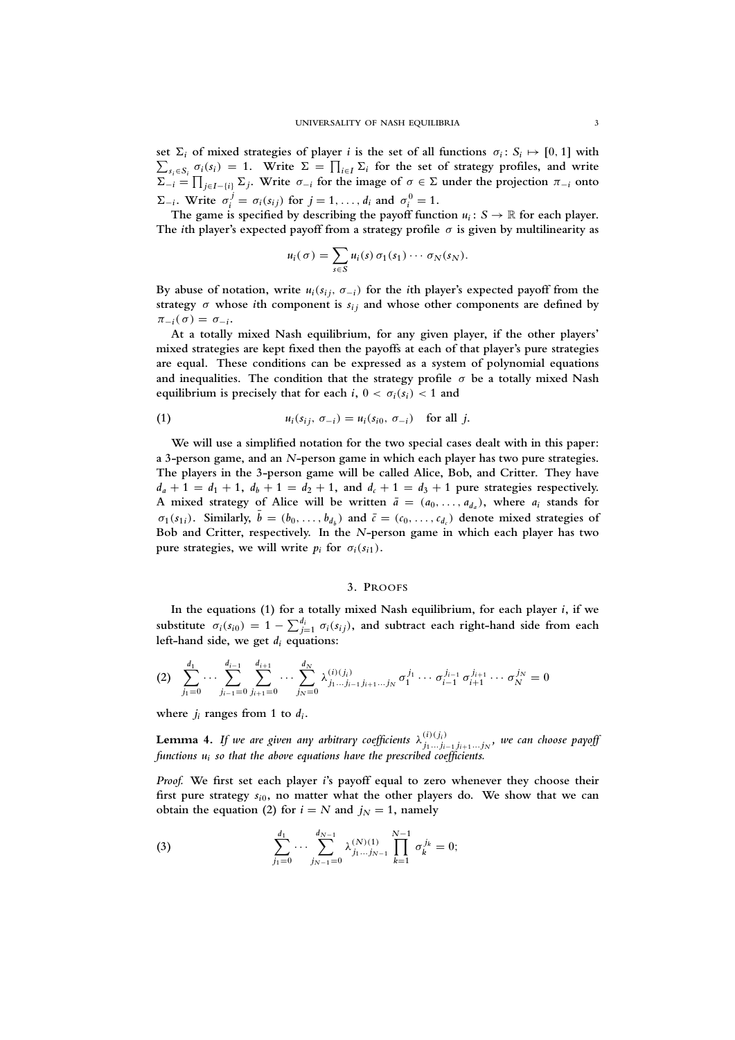set  $\Sigma_i$  of mixed strategies of player *i* is the set of all functions  $\sigma_i$ :  $S_i$ set  $\Sigma_i$  of mixed strategies of player *i* is the set of all functions  $\sigma_i : S_i \mapsto [0, 1]$  with  $\sum_{s_i \in S_i} \sigma_i(s_i) = 1$ . Write  $\Sigma = \prod_{i \in I} \Sigma_i$  for the set of strategy profiles, and write  $\Sigma_{-i} = \prod_{j \in I - \{i\}} \Sigma_j$ . Write  $\sigma_{-i}$  for the image of  $\sigma \in \Sigma$  under the projection  $\pi_{-i}$  onto  $\Sigma_{-i}$ . Write  $\sigma_i^j = \sigma_i(s_{ij})$  for  $j = 1, ..., d_i$  and  $\sigma_i^0 = 1$ .

The game is specified by describing the payoff function  $u_i: S \to \mathbb{R}$  for each player. **The** *i***th player's expected payoff from a strategy profile** σ **is given by multilinearity as**

$$
u_i(\sigma) = \sum_{s \in S} u_i(s) \, \sigma_1(s_1) \cdots \sigma_N(s_N).
$$

By abuse of notation, write  $u_i(s_i, \sigma_{-i})$  for the *i*th player's expected payoff from the strategy  $\sigma$  whose *i*th component is  $s_{ij}$  and whose other components are defined by  $\pi_{-i}(\sigma) = \sigma_{-i}$ .

**At a totally mixed Nash equilibrium, for any given player, if the other players' mixed strategies are kept fixed then the payoffs at each of that player's pure strategies are equal. These conditions can be expressed as a system of polynomial equations and inequalities. The condition that the strategy profile** σ **be a totally mixed Nash equilibrium is precisely that for each**  $i$ **,**  $0 < \sigma_i(s_i) < 1$  **and** 

(1) 
$$
u_i(s_{ij}, \sigma_{-i}) = u_i(s_{i0}, \sigma_{-i}) \text{ for all } j.
$$

**We will use a simplified notation for the two special cases dealt with in this paper: a 3-person game, and an** *N***-person game in which each player has two pure strategies. The players in the 3-person game will be called Alice, Bob, and Critter. They have**  $d_a + 1 = d_1 + 1$ ,  $d_b + 1 = d_2 + 1$ , and  $d_c + 1 = d_3 + 1$  pure strategies respectively. A mixed strategy of Alice will be written  $\bar{a} = (a_0, \ldots, a_{d_a})$ , where  $a_i$  stands for  $\sigma_1(s_{1i})$ . Similarly,  $\bar{b} = (b_0, \ldots, b_{d_b})$  and  $\bar{c} = (c_0, \ldots, c_{d_c})$  denote mixed strategies of **Bob and Critter, respectively. In the** *N***-person game in which each player has two pure strategies, we will write**  $p_i$  for  $\sigma_i(s_i)$ .

# **3. PROOFS**

**In the equations (1) for a totally mixed Nash equilibrium, for each player** *i***, if we** substitute  $\sigma_i(s_{i0}) = 1 - \sum_{j=1}^{d_i} \sigma_i(s_{ij})$ , and subtract each right-hand side from each **left-hand side, we get** *d<sup>i</sup>* **equations:**

$$
(2) \sum_{j_1=0}^{d_1} \cdots \sum_{j_{i-1}=0}^{d_{i-1}} \sum_{j_{i+1}=0}^{d_{i+1}} \cdots \sum_{j_N=0}^{d_N} \lambda_{j_1...j_{i-1}j_{i+1}...j_N}^{(i)(j_i)} \sigma_1^{j_1} \cdots \sigma_{i-1}^{j_{i-1}} \sigma_{i+1}^{j_{i+1}} \cdots \sigma_N^{j_N} = 0
$$

where  $j_i$  ranges from 1 to  $d_i$ .

**Lemma 4.** If we are given any arbitrary coefficients  $\lambda^{(i)(j_i)}_{j_1...j_{i-1}j_{i+1}...j_N}$ , we can choose payoff *functions u<sup>i</sup> so that the above equations have the prescribed coefficients.*

*Proof.* **We first set each player** *i***'s payoff equal to zero whenever they choose their** first pure strategy  $s_{i0}$ , no matter what the other players do. We show that we can **obtain the equation (2) for**  $i = N$  and  $j<sub>N</sub> = 1$ , namely

(3) 
$$
\sum_{j_1=0}^{d_1} \cdots \sum_{j_{N-1}=0}^{d_{N-1}} \lambda_{j_1 \ldots j_{N-1}}^{(N)(1)} \prod_{k=1}^{N-1} \sigma_k^{j_k} = 0;
$$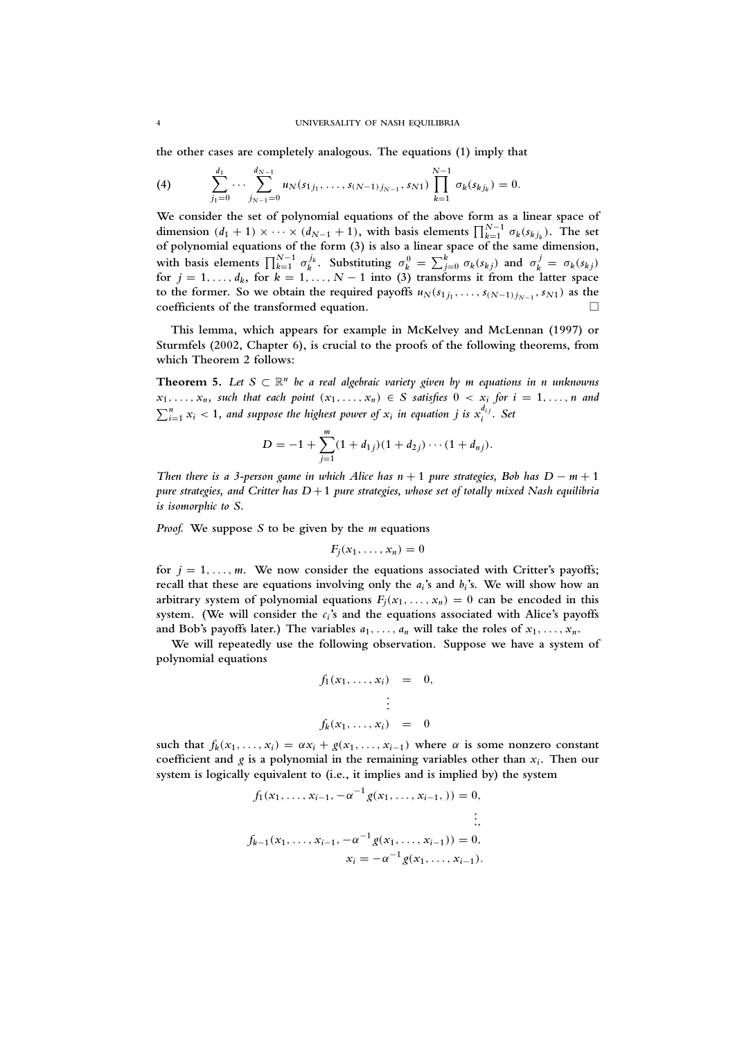**the other cases are completely analogous. The equations (1) imply that**

(4) 
$$
\sum_{j_1=0}^{d_1} \cdots \sum_{j_{N-1}=0}^{d_{N-1}} u_N(s_{1j_1}, \ldots, s_{(N-1)j_{N-1}}, s_{N1}) \prod_{k=1}^{N-1} \sigma_k(s_{kj_k}) = 0.
$$

**We consider the set of polynomial equations of the above form as a linear space of** dimension  $(d_1 + 1) \times \cdots \times (d_{N-1} + 1)$ , with basis elements  $\prod_{k=1}^{N-1} \sigma_k(s_{k j_k})$ . The set **of polynomial equations of the form (3) is also a linear space of the same dimension,** with basis elements  $\prod_{k=1}^{N-1} \sigma_k^{j_k}$ . Substituting  $\sigma_k^0 = \sum_{j=0}^{k} \sigma_k(s_{kj})$  and  $\sigma_k^j = \sigma_k(s_{kj})$ **for**  $j = 1, \ldots, d_k$ , for  $k = 1, \ldots, N - 1$  into (3) transforms it from the latter space to the former. So we obtain the required payoffs  $u_N(s_{1j_1}, \ldots, s_{(N-1)j_{N-1}}, s_{N1})$  as the **coefficients of the transformed equation.**

**This lemma, which appears for example in McKelvey and McLennan (1997) or Sturmfels (2002, Chapter 6), is crucial to the proofs of the following theorems, from which Theorem 2 follows:**

**Theorem 5.** Let  $S \subset \mathbb{R}^n$  be a real algebraic variety given by m equations in n unknowns  $x_1, \ldots, x_n$ , such that each point  $(x_1, \ldots, x_n) \in S$  satisfies  $0 < x_i$  for  $i = 1, \ldots, n$  and  $\sum_{i=1}^{n} x_i < 1$ , and suppose the highest power of  $x_i$  in equation j is  $x_i^{d_{ij}}$ . Set

$$
D=-1+\sum_{j=1}^m(1+d_{1j})(1+d_{2j})\cdots(1+d_{nj}).
$$

*Then there is a 3-person game in which Alice has n* + 1 *pure strategies, Bob has D − m* + 1 *pure strategies, and Critter has D* +**1** *pure strategies, whose set of totally mixed Nash equilibria is isomorphic to S.*

*Proof.* **We suppose** *S* **to be given by the** *m* **equations**

$$
F_j(x_1,\ldots,x_n)=0
$$

for  $j = 1, \ldots, m$ . We now consider the equations associated with Critter's payoffs; **recall that these are equations involving only the** *a<sup>i</sup>* **'s and** *b<sup>i</sup>* **'s. We will show how an** arbitrary system of polynomial equations  $F_i(x_1, \ldots, x_n) = 0$  can be encoded in this **system. (We will consider the** *c<sup>i</sup>* **'s and the equations associated with Alice's payoffs** and Bob's payoffs later.) The variables  $a_1, \ldots, a_n$  will take the roles of  $x_1, \ldots, x_n$ .

**We will repeatedly use the following observation. Suppose we have a system of polynomial equations**

$$
f_1(x_1, \ldots, x_i) = 0,
$$
  
\n
$$
\vdots
$$
  
\n
$$
f_k(x_1, \ldots, x_i) = 0
$$

such that  $f_k(x_1, \ldots, x_i) = \alpha x_i + g(x_1, \ldots, x_{i-1})$  where  $\alpha$  is some nonzero constant **coefficient and** *g* **is a polynomial in the remaining variables other than** *x<sup>i</sup>* **. Then our system is logically equivalent to (i.e., it implies and is implied by) the system**

$$
f_1(x_1, ..., x_{i-1}, -\alpha^{-1} g(x_1, ..., x_{i-1},)) = 0,
$$
  
\n
$$
\vdots,
$$
  
\n
$$
f_{k-1}(x_1, ..., x_{i-1}, -\alpha^{-1} g(x_1, ..., x_{i-1})) = 0,
$$
  
\n
$$
x_i = -\alpha^{-1} g(x_1, ..., x_{i-1}).
$$

*d***1**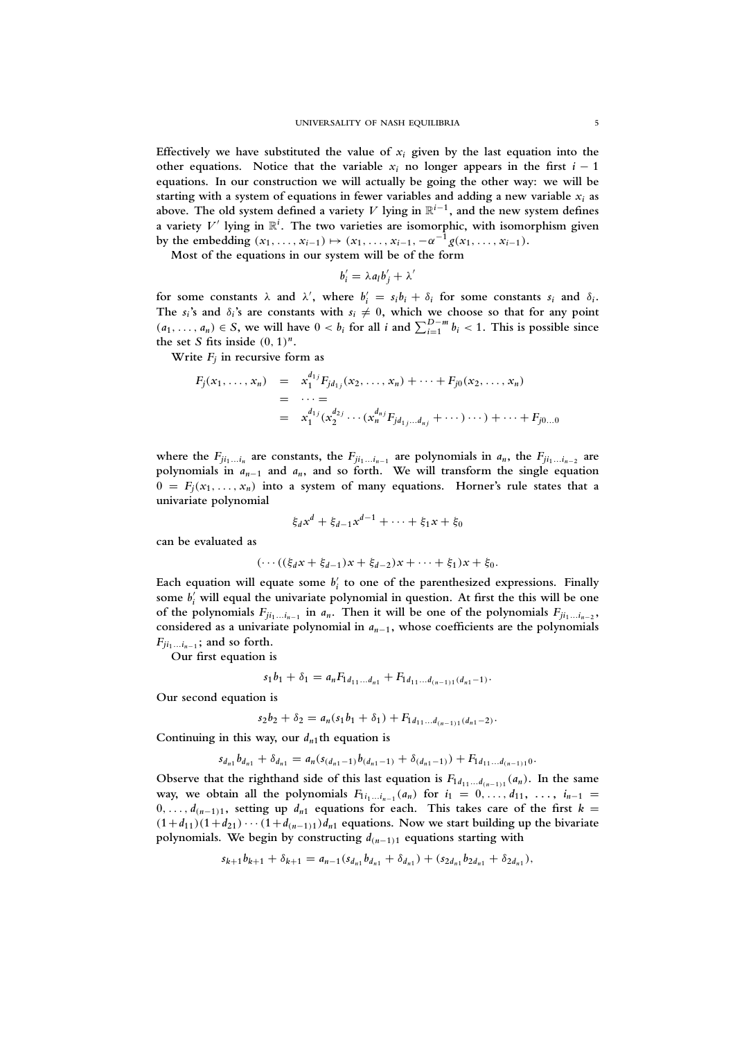Effectively we have substituted the value of  $x_i$  given by the last equation into the other equations. Notice that the variable  $x_i$  no longer appears in the first  $i - 1$ **equations. In our construction we will actually be going the other way: we will be** starting with a system of equations in fewer variables and adding a new variable  $x_i$  as above. The old system defined a variety *V* lying in  $\mathbb{R}^{i-1}$ , and the new system defines **a** variety  $V'$  lying in  $\mathbb{R}^i$ . The two varieties are isomorphic, with isomorphism given **by the embedding**  $(x_1, ..., x_{i-1}) \mapsto (x_1, ..., x_{i-1}, -\alpha^{-1}g(x_1, ..., x_{i-1}).$ 

**Most of the equations in our system will be of the form**

$$
b'_i = \lambda a_l b'_j + \lambda'
$$

for some constants  $\lambda$  and  $\lambda'$ , where  $b'_i = s_i b_i + \delta_i$  for some constants  $s_i$  and  $\delta_i$ . The  $s_i$ 's and  $\delta_i$ 's are constants with  $s_i \neq 0$ , which we choose so that for any point  $(a_1, \ldots, a_n) \in S$ , we will have  $0 < b_i$  for all *i* and  $\sum_{i=1}^{D-m} b_i < 1$ . This is possible since the set *S* fits inside  $(0, 1)^n$ .

Write  $F_j$  in recursive form as

$$
F_j(x_1, ..., x_n) = x_1^{d_1} F_{jd_{1j}}(x_2, ..., x_n) + \cdots + F_{j0}(x_2, ..., x_n)
$$
  
= ... =  
=  $x_1^{d_1} (x_2^{d_2} \cdots (x_n^{d_n} F_{jd_1}...d_n)} + \cdots) \cdots) + \cdots + F_{j0...0}$ 

where the  $F_{ji_1...i_n}$  are constants, the  $F_{ji_1...i_{n-1}}$  are polynomials in  $a_n$ , the  $F_{ji_1...i_{n-2}}$  are **polynomials in** *an*−**<sup>1</sup> and** *an***, and so forth. We will transform the single equation**  $0 = F_j(x_1, \ldots, x_n)$  into a system of many equations. Horner's rule states that a **univariate polynomial**

$$
\xi_d x^d + \xi_{d-1} x^{d-1} + \cdots + \xi_1 x + \xi_0
$$

**can be evaluated as**

$$
(\cdots ((\xi_d x + \xi_{d-1})x + \xi_{d-2})x + \cdots + \xi_1)x + \xi_0.
$$

Each equation will equate some  $b_i'$  to one of the parenthesized expressions. Finally some  $b'_i$  will equal the univariate polynomial in question. At first the this will be one of the polynomials  $F_{ji_1...i_{n-1}}$  in  $a_n$ . Then it will be one of the polynomials  $F_{ji_1...i_{n-2}}$ , **considered as a univariate polynomial in** *an*−**1, whose coefficients are the polynomials**  $F_{ji_1...i_{n-1}}$ ; and so forth.

**Our first equation is**

$$
s_1b_1+\delta_1=a_nF_{1d_{11}...d_{n1}}+F_{1d_{11}...d_{(n-1)1}(d_{n1}-1)}.
$$

**Our second equation is**

$$
s_2b_2+\delta_2=a_n(s_1b_1+\delta_1)+F_{1d_{11}...d_{(n-1)1}(d_{n1}-2)}.
$$

Continuing in this way, our  $d_{n1}$ <sup>th</sup> equation is

$$
s_{d_{n1}}b_{d_{n1}} + \delta_{d_{n1}} = a_n(s_{(d_{n1}-1)}b_{(d_{n1}-1)} + \delta_{(d_{n1}-1)}) + F_{1d_{11}...d_{(n-1)1}}.
$$

Observe that the righthand side of this last equation is  $F_1 a_{11} \ldots a_{(n-1)1} (a_n)$ . In the same way, we obtain all the polynomials  $F_{1i_1...i_{n-1}}(a_n)$  for  $i_1 = 0,..., d_{11}, ..., i_{n-1} =$ 0, ...,  $d_{(n-1)1}$ , setting up  $d_{n1}$  equations for each. This takes care of the first  $k =$  $(1+d_{11})(1+d_{21})\cdots(1+d_{(n-1)1})d_{n1}$  equations. Now we start building up the bivariate polynomials. We begin by constructing  $d_{(n-1)1}$  equations starting with

$$
s_{k+1}b_{k+1} + \delta_{k+1} = a_{n-1}(s_{d_{n1}}b_{d_{n1}} + \delta_{d_{n1}}) + (s_{2d_{n1}}b_{2d_{n1}} + \delta_{2d_{n1}}),
$$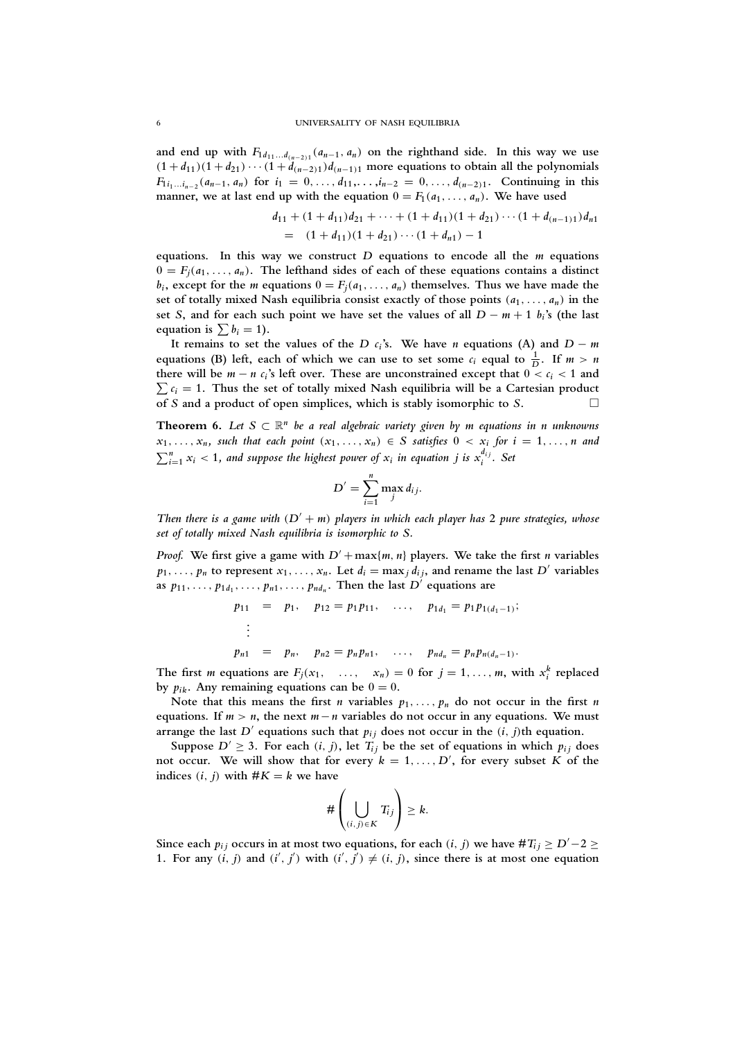and end up with  $F_1$ <sub>*d*11</sub>...*d*<sub>(*n*−2)</sub><sub>1</sub></sub> (*a<sub>n−1</sub>*, *a<sub>n</sub>*) on the righthand side. In this way we use  $(1+d_{11})(1+d_{21})\cdots(1+d_{(n-2)1})d_{(n-1)1}$  more equations to obtain all the polynomials  $F_{1i_1...i_{n-2}}(a_{n-1}, a_n)$  for  $i_1 = 0,..., d_{11},..., i_{n-2} = 0,..., d_{(n-2)1}$ . Continuing in this **manner, we at last end up with the equation**  $0 = F_1(a_1, \ldots, a_n)$ **. We have used** 

$$
d_{11} + (1 + d_{11})d_{21} + \cdots + (1 + d_{11})(1 + d_{21}) \cdots (1 + d_{(n-1)1})d_{n1}
$$
  
= 
$$
(1 + d_{11})(1 + d_{21}) \cdots (1 + d_{n1}) - 1
$$

**equations. In this way we construct** *D* **equations to encode all the** *m* **equations**  $0 = F_i(a_1, \ldots, a_n)$ . The lefthand sides of each of these equations contains a distinct  $b_i$ , except for the *m* equations  $0 = F_j(a_1, \ldots, a_n)$  themselves. Thus we have made the **set of totally mixed Nash equilibria consist exactly of those points** (*a***1**, . . . , *a<sup>n</sup>* ) **in the** set *S*, and for each such point we have set the values of all  $D - m + 1$   $b_i$ 's (the last equation is  $\sum b_i = 1$ .

It remains to set the values of the *D*  $c_i$ 's. We have *n* equations (A) and  $D - m$ equations (B) left, each of which we can use to set some  $c_i$  equal to  $\frac{1}{D}$ . If  $m > n$ there will be  $m - n c_i$ 's left over. These are unconstrained except that  $0 < c_i < 1$  and  $\sum c_i = 1$ . Thus the set of totally mixed Nash equilibria will be a Cartesian product **of** *S* **and a product of open simplices, which is stably isomorphic to** *S***.**

**Theorem 6.** Let  $S \subset \mathbb{R}^n$  be a real algebraic variety given by m equations in n unknowns  $x_1, \ldots, x_n$ , such that each point  $(x_1, \ldots, x_n) \in S$  satisfies  $0 < x_i$  for  $i = 1, \ldots, n$  and  $\sum_{i=1}^{n} x_i < 1$ , and suppose the highest power of  $x_i$  in equation j is  $x_i^{d_{ij}}$ . Set

$$
D'=\sum_{i=1}^n \max_j d_{ij}.
$$

*Then there is a game with*  $(D' + m)$  *players in which each player has* 2 *pure strategies, whose set of totally mixed Nash equilibria is isomorphic to S.*

*Proof.* We first give a game with  $D' + \max\{m, n\}$  players. We take the first *n* variables  $p_1, \ldots, p_n$  to represent  $x_1, \ldots, x_n$ . Let  $d_i = \max_i d_{i,i}$ , and rename the last D' variables **as**  $p_1$ , ...,  $p_1$ , ...,  $p_{n1}$ , ...,  $p_{nd_n}$ . Then the last  $D'$  equations are

$$
p_{11} = p_1, p_{12} = p_1 p_{11}, \dots, p_{1d_1} = p_1 p_{1(d_1-1)};
$$
  
\n:  
\n:  
\n
$$
p_{n1} = p_n, p_{n2} = p_n p_{n1}, \dots, p_{nd_n} = p_n p_{n(d_n-1)}.
$$

The first *m* equations are  $F_j(x_1, \ldots, x_n) = 0$  for  $j = 1, \ldots, m$ , with  $x_i^k$  replaced by  $p_{ik}$ . Any remaining equations can be  $0 = 0$ .

Note that this means the first *n* variables  $p_1, \ldots, p_n$  do not occur in the first *n* **equations.** If  $m > n$ , the next  $m - n$  variables do not occur in any equations. We must **arrange the last**  $D'$  equations such that  $p_{ij}$  does not occur in the  $(i, j)$ th equation.

Suppose  $D' \geq 3$ . For each  $(i, j)$ , let  $T_{ij}$  be the set of equations in which  $p_{ij}$  does not occur. We will show that for every  $k = 1, \ldots, D'$ , for every subset  $K$  of the **indices**  $(i, j)$  with  $#K = k$  we have

$$
\#\left(\bigcup_{(i,j)\in K}T_{ij}\right)\geq k.
$$

Since each  $p_{ij}$  occurs in at most two equations, for each  $(i, j)$  we have  $\#T_{ij} \geq D'-2 \geq 1$ 1. For any  $(i, j)$  and  $(i', j')$  with  $(i', j') \neq (i, j)$ , since there is at most one equation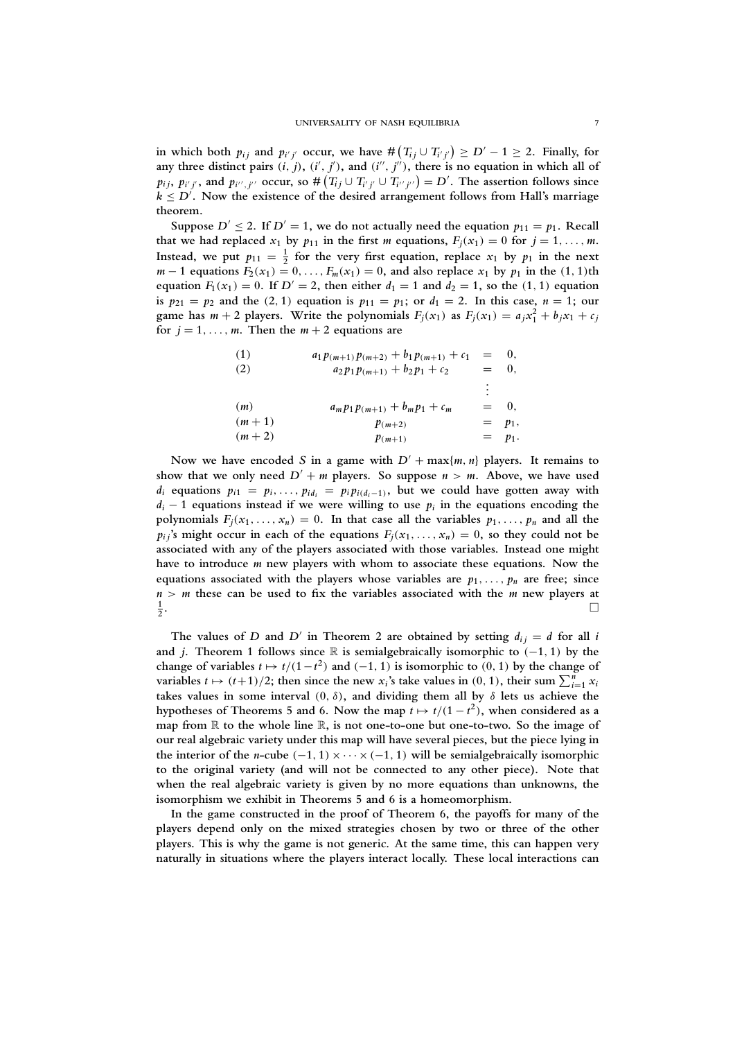in which both  $p_{ij}$  and  $p_{i'j'}$  occur, we have  $\#(T_{ij} \cup T_{i'j'}) \ge D' - 1 \ge 2$ . Finally, for any three distinct pairs  $(i, j)$ ,  $(i', j')$ , and  $(i'', j'')$ , there is no equation in which all of  $p_{ij}, p_{i'j'}$ , and  $p_{i'',j''}$  occur, so  $\#(T_{ij} \cup T_{i'j'} \cup T_{i''j''}) = D'$ . The assertion follows since  $k \leq D'$ . Now the existence of the desired arrangement follows from Hall's marriage **theorem.**

Suppose  $D' \le 2$ . If  $D' = 1$ , we do not actually need the equation  $p_{11} = p_1$ . Recall that we had replaced  $x_1$  by  $p_{11}$  in the first *m* equations,  $F_j(x_1) = 0$  for  $j = 1, \ldots, m$ . Instead, we put  $p_{11} = \frac{1}{2}$  for the very first equation, replace  $x_1$  by  $p_1$  in the next  $m-1$  equations  $F_2(x_1) = 0, \ldots, F_m(x_1) = 0$ , and also replace  $x_1$  by  $p_1$  in the  $(1, 1)$ th **equation**  $F_1(x_1) = 0$ . If  $D' = 2$ , then either  $d_1 = 1$  and  $d_2 = 1$ , so the (1, 1) equation **is**  $p_{21} = p_2$  and the (2, 1) equation is  $p_{11} = p_1$ ; or  $d_1 = 2$ . In this case,  $n = 1$ ; our game has  $m + 2$  players. Write the polynomials  $F_j(x_1)$  as  $F_j(x_1) = a_j x_1^2 + b_j x_1 + c_j$ for  $j = 1, \ldots, m$ . Then the  $m + 2$  equations are

(1)  
\n
$$
a_1 p_{(m+1)} p_{(m+2)} + b_1 p_{(m+1)} + c_1 = 0,
$$
\n(2)  
\n
$$
a_2 p_1 p_{(m+1)} + b_2 p_1 + c_2 = 0,
$$
\n
$$
\vdots
$$
\n(m)  
\n
$$
a_m p_1 p_{(m+1)} + b_m p_1 + c_m = 0,
$$
\n(m+1)  
\n
$$
p_{(m+2)} = p_1,
$$
\n
$$
p_{(m+1)} = p_1.
$$

Now we have encoded *S* in a game with  $D' + \max\{m, n\}$  players. It remains to show that we only need  $D' + m$  players. So suppose  $n > m$ . Above, we have used *d*<sup>*i*</sup> equations  $p_{i1} = p_i, \ldots, p_{id_i} = p_i p_{i(d_i-1)}$ , but we could have gotten away with  $d_i - 1$  equations instead if we were willing to use  $p_i$  in the equations encoding the polynomials  $F_j(x_1, \ldots, x_n) = 0$ . In that case all the variables  $p_1, \ldots, p_n$  and all the  $p_i$ <sup>*j*</sup>**s** might occur in each of the equations  $F_i(x_1, \ldots, x_n) = 0$ , so they could not be **associated with any of the players associated with those variables. Instead one might have to introduce** *m* **new players with whom to associate these equations. Now the** equations associated with the players whose variables are  $p_1, \ldots, p_n$  are free; since *n* > *m* **these can be used to fix the variables associated with the** *m* **new players at 1 2 .**

The values of *D* and *D'* in Theorem 2 are obtained by setting  $d_{ij} = d$  for all *i* **and** *j***. Theorem 1 follows since** R **is semialgebraically isomorphic to** (−**1**, **1**) **by the change of variables**  $t \mapsto t/(1-t^2)$  and  $(-1, 1)$  is isomorphic to  $(0, 1)$  by the change of **variables**  $t \mapsto (t+1)/2$ ; then since the new  $x_i$ 's take values in  $(0, 1)$ , their sum  $\sum_{i=1}^{n} x_i$ **takes values in some interval**  $(0, \delta)$ , and dividing them all by  $\delta$  lets us achieve the hypotheses of Theorems 5 and 6. Now the map  $t \mapsto t/(1-t^2)$ , when considered as a **map from** R **to the whole line** R**, is not one-to-one but one-to-two. So the image of our real algebraic variety under this map will have several pieces, but the piece lying in the interior of the** *n*-cube  $(-1, 1) \times \cdots \times (-1, 1)$  will be semialgebraically isomorphic **to the original variety (and will not be connected to any other piece). Note that when the real algebraic variety is given by no more equations than unknowns, the isomorphism we exhibit in Theorems 5 and 6 is a homeomorphism.**

**In the game constructed in the proof of Theorem 6, the payoffs for many of the players depend only on the mixed strategies chosen by two or three of the other players. This is why the game is not generic. At the same time, this can happen very naturally in situations where the players interact locally. These local interactions can**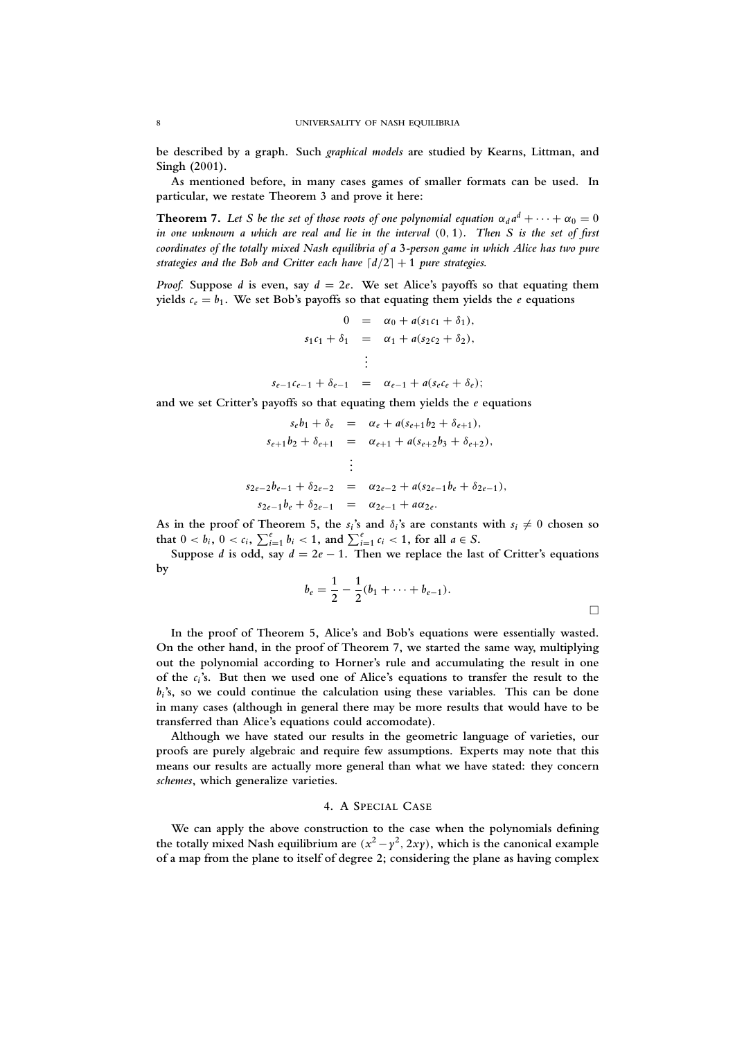**be described by a graph. Such** *graphical models* **are studied by Kearns, Littman, and Singh (2001).**

**As mentioned before, in many cases games of smaller formats can be used. In particular, we restate Theorem 3 and prove it here:**

**Theorem 7.** Let S be the set of those roots of one polynomial equation  $\alpha_d a^d + \cdots + \alpha_0 = 0$ *in one unknown a which are real and lie in the interval* (**0**, **1**)*. Then S is the set of first coordinates of the totally mixed Nash equilibria of a* **3***-person game in which Alice has two pure strategies and the Bob and Critter each have*  $\lceil d/2 \rceil + 1$  *pure strategies.* 

*Proof.* **Suppose** *d* **is even, say** *d* = **2***e***. We set Alice's payoffs so that equating them** yields  $c_e = b_1$ . We set Bob's payoffs so that equating them yields the *e* equations

$$
0 = \alpha_0 + a(s_1c_1 + \delta_1),
$$
  
\n
$$
s_1c_1 + \delta_1 = \alpha_1 + a(s_2c_2 + \delta_2),
$$
  
\n
$$
\vdots
$$
  
\n
$$
s_{e-1}c_{e-1} + \delta_{e-1} = \alpha_{e-1} + a(s_ec_e + \delta_e);
$$

**and we set Critter's payoffs so that equating them yields the** *e* **equations**

$$
s_{e}b_{1} + \delta_{e} = \alpha_{e} + a(s_{e+1}b_{2} + \delta_{e+1}),
$$
  
\n
$$
s_{e+1}b_{2} + \delta_{e+1} = \alpha_{e+1} + a(s_{e+2}b_{3} + \delta_{e+2}),
$$
  
\n
$$
\vdots
$$
  
\n
$$
s_{2e-2}b_{e-1} + \delta_{2e-2} = \alpha_{2e-2} + a(s_{2e-1}b_{e} + \delta_{2e-1}),
$$
  
\n
$$
s_{2e-1}b_{e} + \delta_{2e-1} = \alpha_{2e-1} + a\alpha_{2e}.
$$

As in the proof of Theorem 5, the  $s_i$ 's and  $\delta_i$ 's are constants with  $s_i \neq 0$  chosen so that  $0 < b_i$ ,  $0 < c_i$ ,  $\sum_{i=1}^{e} b_i < 1$ , and  $\sum_{i=1}^{e} c_i < 1$ , for all  $a \in S$ .

Suppose *d* is odd, say  $d = 2e - 1$ . Then we replace the last of Critter's equations **by**

$$
b_e = \frac{1}{2} - \frac{1}{2}(b_1 + \cdots + b_{e-1}).
$$

**In the proof of Theorem 5, Alice's and Bob's equations were essentially wasted. On the other hand, in the proof of Theorem 7, we started the same way, multiplying out the polynomial according to Horner's rule and accumulating the result in one of the** *c<sup>i</sup>* **'s. But then we used one of Alice's equations to transfer the result to the** *bi* **'s, so we could continue the calculation using these variables. This can be done in many cases (although in general there may be more results that would have to be transferred than Alice's equations could accomodate).**

**Although we have stated our results in the geometric language of varieties, our proofs are purely algebraic and require few assumptions. Experts may note that this means our results are actually more general than what we have stated: they concern** *schemes***, which generalize varieties.**

### **4. A SPECIAL CASE**

**We can apply the above construction to the case when the polynomials defining** the totally mixed Nash equilibrium are  $(x^2 - y^2, 2xy)$ , which is the canonical example **of a map from the plane to itself of degree 2; considering the plane as having complex**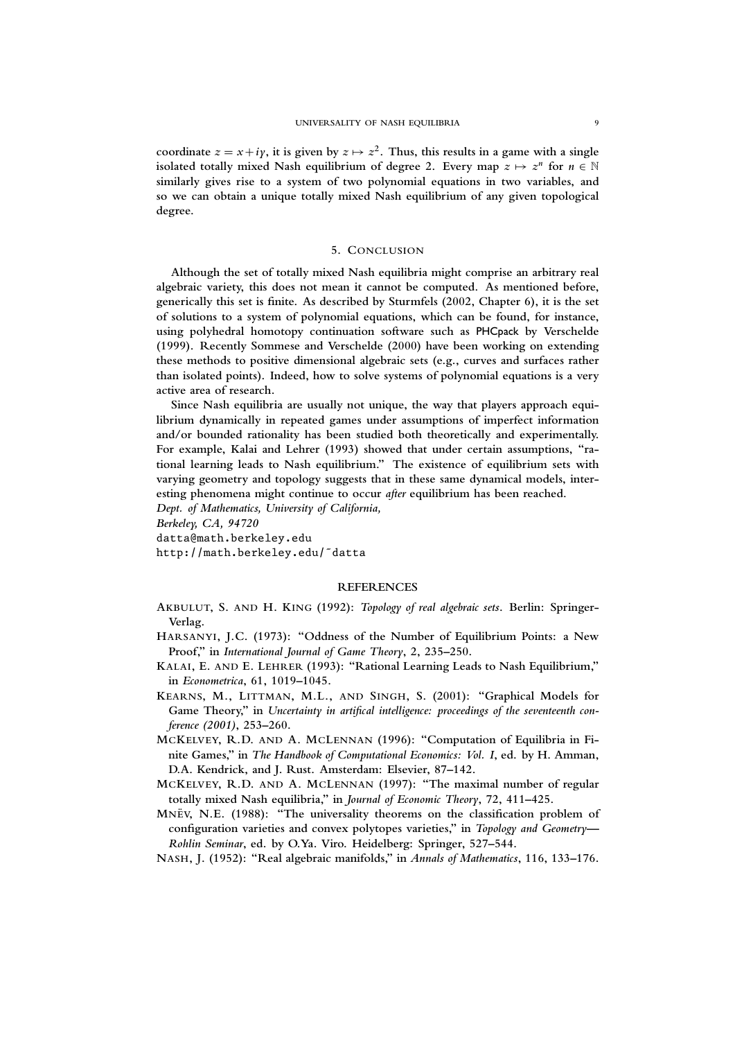coordinate  $z = x + iy$ , it is given by  $z \mapsto z^2$ . Thus, this results in a game with a single isolated totally mixed Nash equilibrium of degree 2. Every map  $z \mapsto z^n$  for  $n \in \mathbb{N}$ **similarly gives rise to a system of two polynomial equations in two variables, and so we can obtain a unique totally mixed Nash equilibrium of any given topological degree.**

# **5. CONCLUSION**

**Although the set of totally mixed Nash equilibria might comprise an arbitrary real algebraic variety, this does not mean it cannot be computed. As mentioned before, generically this set is finite. As described by Sturmfels (2002, Chapter 6), it is the set of solutions to a system of polynomial equations, which can be found, for instance, using polyhedral homotopy continuation software such as** PHCpack **by Verschelde (1999). Recently Sommese and Verschelde (2000) have been working on extending these methods to positive dimensional algebraic sets (e.g., curves and surfaces rather than isolated points). Indeed, how to solve systems of polynomial equations is a very active area of research.**

**Since Nash equilibria are usually not unique, the way that players approach equilibrium dynamically in repeated games under assumptions of imperfect information and/or bounded rationality has been studied both theoretically and experimentally. For example, Kalai and Lehrer (1993) showed that under certain assumptions, "rational learning leads to Nash equilibrium." The existence of equilibrium sets with varying geometry and topology suggests that in these same dynamical models, interesting phenomena might continue to occur** *after* **equilibrium has been reached.**

*Dept. of Mathematics, University of California,*

*Berkeley, CA, 94720*

datta@math.berkeley.edu

http://math.berkeley.edu/˜datta

# **REFERENCES**

**AKBULUT, S. AND H. KING (1992):** *Topology of real algebraic sets***. Berlin: Springer-Verlag.**

- **HARSANYI, J.C. (1973): "Oddness of the Number of Equilibrium Points: a New Proof," in** *International Journal of Game Theory***, 2, 235–250.**
- **KALAI, E. AND E. LEHRER (1993): "Rational Learning Leads to Nash Equilibrium," in** *Econometrica***, 61, 1019–1045.**
- **KEARNS, M., LITTMAN, M.L., AND SINGH, S. (2001): "Graphical Models for Game Theory," in** *Uncertainty in artifical intelligence: proceedings of the seventeenth conference (2001)***, 253–260.**
- **MCKELVEY, R.D. AND A. MCLENNAN (1996): "Computation of Equilibria in Finite Games," in** *The Handbook of Computational Economics: Vol. I***, ed. by H. Amman, D.A. Kendrick, and J. Rust. Amsterdam: Elsevier, 87–142.**
- **MCKELVEY, R.D. AND A. MCLENNAN (1997): "The maximal number of regular totally mixed Nash equilibria," in** *Journal of Economic Theory***, 72, 411–425.**
- **MNEV¨ , N.E. (1988): "The universality theorems on the classification problem of configuration varieties and convex polytopes varieties," in** *Topology and Geometry— Rohlin Seminar***, ed. by O.Ya. Viro. Heidelberg: Springer, 527–544.**
- **NASH, J. (1952): "Real algebraic manifolds," in** *Annals of Mathematics***, 116, 133–176.**